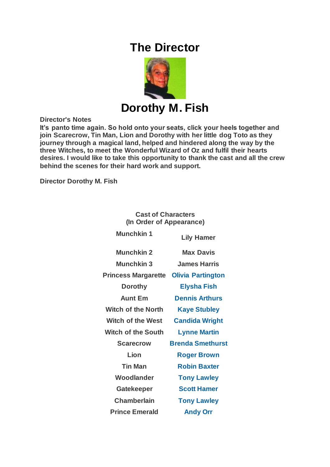# **The Director**



**Director's Notes**

**It's panto time again. So hold onto your seats, click your heels together and join Scarecrow, Tin Man, Lion and Dorothy with her little dog Toto as they journey through a magical land, helped and hindered along the way by the three Witches, to meet the Wonderful Wizard of Oz and fulfil their hearts desires. I would like to take this opportunity to thank the cast and all the crew behind the scenes for their hard work and support.**

**Director Dorothy M. Fish**

#### **Cast of Characters (In Order of Appearance)**

| <b>Munchkin 1</b>          | <b>Lily Hamer</b>        |
|----------------------------|--------------------------|
| <b>Munchkin 2</b>          | <b>Max Davis</b>         |
| <b>Munchkin 3</b>          | <b>James Harris</b>      |
| <b>Princess Margarette</b> | <b>Olivia Partington</b> |
| <b>Dorothy</b>             | <b>Elysha Fish</b>       |
| <b>Aunt Em</b>             | <b>Dennis Arthurs</b>    |
| <b>Witch of the North</b>  | <b>Kaye Stubley</b>      |
| <b>Witch of the West</b>   | <b>Candida Wright</b>    |
| <b>Witch of the South</b>  | <b>Lynne Martin</b>      |
| <b>Scarecrow</b>           | <b>Brenda Smethurst</b>  |
| Lion                       | <b>Roger Brown</b>       |
| <b>Tin Man</b>             | <b>Robin Baxter</b>      |
| Woodlander                 | <b>Tony Lawley</b>       |
| <b>Gatekeeper</b>          | <b>Scott Hamer</b>       |
| <b>Chamberlain</b>         | <b>Tony Lawley</b>       |
| <b>Prince Emerald</b>      | <b>Andy Orr</b>          |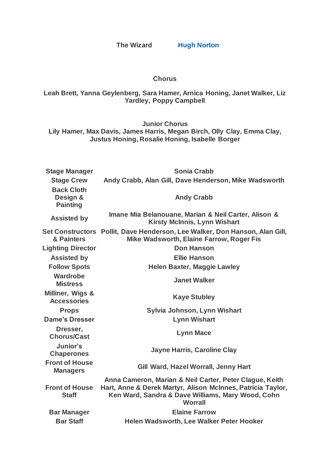**The Wizard [Hugh Norton](https://www.carelinetheatre.com/pastprods/oz.php#Hugh)**

#### **Chorus**

### **Leah Brett, Yanna Geylenberg, Sara Hamer, Arnica Honing, Janet Walker, Liz Yardley, Poppy Campbell**

**Junior Chorus**

**Lily Hamer, Max Davis, James Harris, Megan Birch, Olly Clay, Emma Clay, Justus Honing, Rosalie Honing, Isabelle Borger**

| <b>Stage Manager</b>                             | <b>Sonia Crabb</b>                                                                                                                                                                            |
|--------------------------------------------------|-----------------------------------------------------------------------------------------------------------------------------------------------------------------------------------------------|
| <b>Stage Crew</b>                                | Andy Crabb, Alan Gill, Dave Henderson, Mike Wadsworth                                                                                                                                         |
| <b>Back Cloth</b><br>Design &<br><b>Painting</b> | <b>Andy Crabb</b>                                                                                                                                                                             |
| <b>Assisted by</b>                               | Imane Mia Belanouane, Marian & Neil Carter, Alison &<br><b>Kirsty McInnis, Lynn Wishart</b>                                                                                                   |
| & Painters                                       | Set Constructors Pollit, Dave Henderson, Lee Walker, Don Hanson, Alan Gill,<br>Mike Wadsworth, Elaine Farrow, Roger Fis                                                                       |
| <b>Lighting Director</b>                         | <b>Don Hanson</b>                                                                                                                                                                             |
| <b>Assisted by</b>                               | <b>Ellie Hanson</b>                                                                                                                                                                           |
| <b>Follow Spots</b>                              | <b>Helen Baxter, Maggie Lawley</b>                                                                                                                                                            |
| Wardrobe<br><b>Mistress</b>                      | <b>Janet Walker</b>                                                                                                                                                                           |
| Milliner, Wigs &<br><b>Accessories</b>           | <b>Kaye Stubley</b>                                                                                                                                                                           |
| <b>Props</b>                                     | Sylvia Johnson, Lynn Wishart                                                                                                                                                                  |
| <b>Dame's Dresser</b>                            | <b>Lynn Wishart</b>                                                                                                                                                                           |
| Dresser,<br><b>Chorus/Cast</b>                   | <b>Lynn Mace</b>                                                                                                                                                                              |
| Junior's<br><b>Chaperones</b>                    | <b>Jayne Harris, Caroline Clay</b>                                                                                                                                                            |
| <b>Front of House</b><br><b>Managers</b>         | Gill Ward, Hazel Worrall, Jenny Hart                                                                                                                                                          |
| <b>Front of House</b><br><b>Staff</b>            | Anna Cameron, Marian & Neil Carter, Peter Clague, Keith<br>Hart, Anne & Derek Martyr, Alison McInnes, Patricia Taylor,<br>Ken Ward, Sandra & Dave Williams, Mary Wood, Cohn<br><b>Worrall</b> |
| <b>Bar Manager</b>                               | <b>Elaine Farrow</b>                                                                                                                                                                          |
| <b>Bar Staff</b>                                 | Helen Wadsworth, Lee Walker Peter Hooker                                                                                                                                                      |
|                                                  |                                                                                                                                                                                               |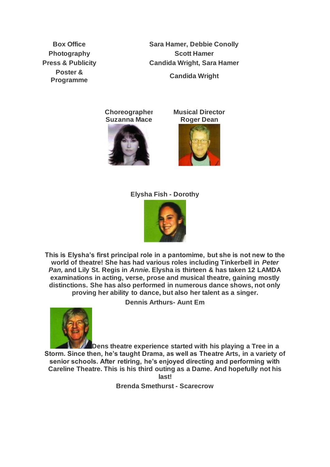**Poster &** 

**Box Office Sara Hamer, Debbie Conolly Photography Scott Hamer Press & Publicity Candida Wright, Sara Hamer Programme Candida Wright**

> **Choreographer Suzanna Mace**



**Musical Director Roger Dean**



#### **Elysha Fish - Dorothy**



**This is Elysha's first principal role in a pantomime, but she is not new to the world of theatre! She has had various roles including Tinkerbell in** *Peter Pan,* **and Lily St. Regis in** *Annie.* **Elysha is thirteen & has taken 12 LAMDA examinations in acting, verse, prose and musical theatre, gaining mostly distinctions. She has also performed in numerous dance shows, not only proving her ability to dance, but also her talent as a singer.**

**Dennis Arthurs- Aunt Em**



**Dens theatre experience started with his playing a Tree in a Storm. Since then, he's taught Drama, as well as Theatre Arts, in a variety of senior schools. After retiring, he's enjoyed directing and performing with Careline Theatre. This is his third outing as a Dame. And hopefully not his last!**

**Brenda Smethurst - Scarecrow**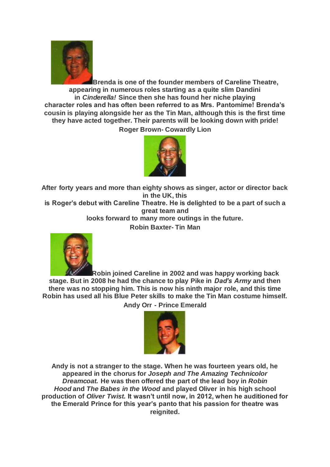

**Brenda is one of the founder members of Careline Theatre, appearing in numerous roles starting as a quite slim Dandini in** *Cinderella!* **Since then she has found her niche playing character roles and has often been referred to as Mrs. Pantomime! Brenda's cousin is playing alongside her as the Tin Man, although this is the first time they have acted together. Their parents will be looking down with pride! Roger Brown- Cowardly Lion**



**After forty years and more than eighty shows as singer, actor or director back in the UK, this**

**is Roger's debut with Careline Theatre. He is delighted to be a part of such a great team and**

**looks forward to many more outings in the future.**

**Robin Baxter- Tin Man**



**Robin joined Careline in 2002 and was happy working back stage. But in 2008 he had the chance to play Pike in** *Dad's Army* **and then there was no stopping him. This is now his ninth major role, and this time Robin has used all his Blue Peter skills to make the Tin Man costume himself.**

**Andy Orr - Prince Emerald**



**Andy is not a stranger to the stage. When he was fourteen years old, he appeared in the chorus for** *Joseph and The Amazing Technicolor Dreamcoat.* **He was then offered the part of the lead boy in** *Robin Hood* **and** *The Babes in the Wood* **and played Oliver in his high school production of** *Oliver Twist.* **It wasn't until now, in 2012, when he auditioned for the Emerald Prince for this year's panto that his passion for theatre was reignited.**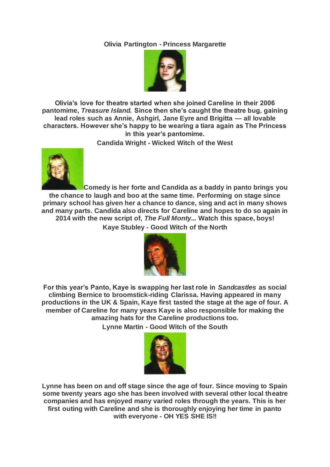# **Olivia Partington - Princess Margarette**



**Olivia's love for theatre started when she joined Careline in their 2006 pantomime,** *Treasure Island.* **Since then she's caught the theatre bug, gaining lead roles such as Annie, Ashgirl, Jane Eyre and Brigitta — all lovable characters. However she's happy to be wearing a tiara again as The Princess in this year's pantomime.**

**Candida Wright - Wicked Witch of the West**



**Comedy is her forte and Candida as a baddy in panto brings you the chance to laugh and boo at the same time. Performing on stage since primary school has given her a chance to dance, sing and act in many shows and many parts. Candida also directs for Careline and hopes to do so again in 2014 with the new script of,** *The Full Monty...* **Watch this space, boys! Kaye Stubley - Good Witch of the North**



**For this year's Panto, Kaye is swapping her last role in** *Sandcastles* **as social climbing Bernice to broomstick-riding Clarissa. Having appeared in many productions in the UK & Spain, Kaye first tasted the stage at the age of four. A member of Careline for many years Kaye is also responsible for making the amazing hats for the Careline productions too.**

**Lynne Martin - Good Witch of the South**



**Lynne has been on and off stage since the age of four. Since moving to Spain some twenty years ago she has been involved with several other local theatre companies and has enjoyed many varied roles through the years. This is her first outing with Careline and she is thoroughly enjoying her time in panto with everyone - OH YES SHE IS!!**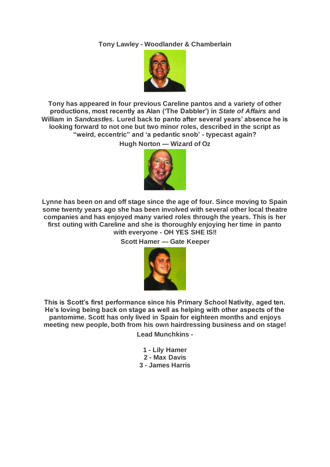## **Tony Lawley - Woodlander & Chamberlain**



**Tony has appeared in four previous Careline pantos and a variety of other productions, most recently as Alan ('The Dabbler') in** *State of Affairs* **and William in** *Sandcastles.* **Lured back to panto after several years' absence he is looking forward to not one but two minor roles, described in the script as "weird, eccentric" and 'a pedantic snob' - typecast again?**

**Hugh Norton — Wizard of Oz**



**Lynne has been on and off stage since the age of four. Since moving to Spain some twenty years ago she has been involved with several other local theatre companies and has enjoyed many varied roles through the years. This is her first outing with Careline and she is thoroughly enjoying her time in panto with everyone - OH YES SHE IS!!**

**Scott Hamer — Gate Keeper**



**This is Scott's first performance since his Primary School Nativity, aged ten. He's loving being back on stage as well as helping with other aspects of the pantomime. Scott has only lived in Spain for eighteen months and enjoys meeting new people, both from his own hairdressing business and on stage!**

**Lead Munchkins -**

**1 - Lily Hamer 2 - Max Davis 3 - James Harris**